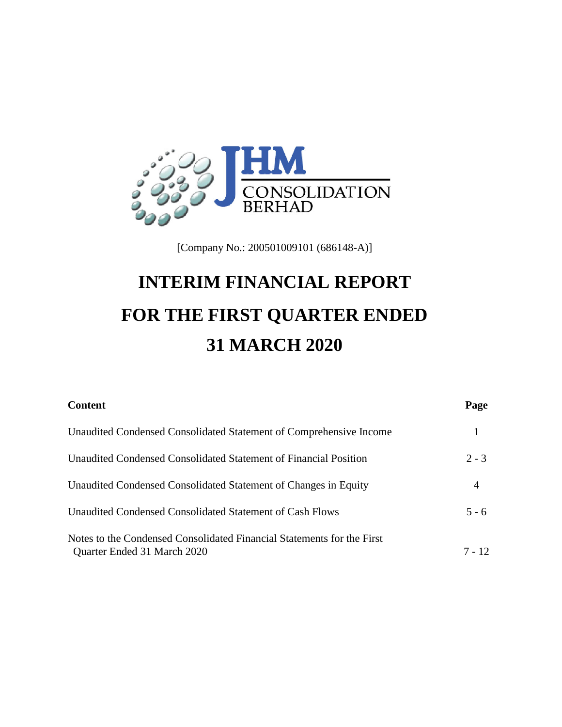

[Company No.: 200501009101 (686148-A)]

# **INTERIM FINANCIAL REPORT FOR THE FIRST QUARTER ENDED 31 MARCH 2020**

| <b>Content</b>                                                                                        | Page     |
|-------------------------------------------------------------------------------------------------------|----------|
| Unaudited Condensed Consolidated Statement of Comprehensive Income                                    |          |
| Unaudited Condensed Consolidated Statement of Financial Position                                      | $2 - 3$  |
| Unaudited Condensed Consolidated Statement of Changes in Equity                                       | 4        |
| Unaudited Condensed Consolidated Statement of Cash Flows                                              | $5 - 6$  |
| Notes to the Condensed Consolidated Financial Statements for the First<br>Quarter Ended 31 March 2020 | $7 - 12$ |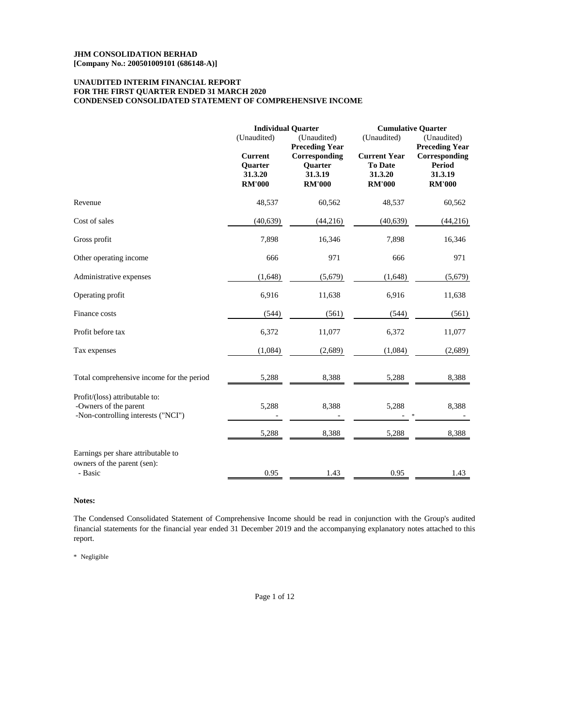# **FOR THE FIRST QUARTER ENDED 31 MARCH 2020 CONDENSED CONSOLIDATED STATEMENT OF COMPREHENSIVE INCOME UNAUDITED INTERIM FINANCIAL REPORT**

|                                                                                               | (Unaudited)                                                  | <b>Individual Quarter</b><br>(Unaudited)<br><b>Preceding Year</b> |                                                                   | <b>Cumulative Quarter</b><br>(Unaudited)<br><b>Preceding Year</b> |  |
|-----------------------------------------------------------------------------------------------|--------------------------------------------------------------|-------------------------------------------------------------------|-------------------------------------------------------------------|-------------------------------------------------------------------|--|
|                                                                                               | <b>Current</b><br><b>Quarter</b><br>31.3.20<br><b>RM'000</b> | Corresponding<br>Quarter<br>31.3.19<br><b>RM'000</b>              | <b>Current Year</b><br><b>To Date</b><br>31.3.20<br><b>RM'000</b> | Corresponding<br><b>Period</b><br>31.3.19<br><b>RM'000</b>        |  |
| Revenue                                                                                       | 48,537                                                       | 60,562                                                            | 48,537                                                            | 60,562                                                            |  |
| Cost of sales                                                                                 | (40, 639)                                                    | (44,216)                                                          | (40, 639)                                                         | (44,216)                                                          |  |
| Gross profit                                                                                  | 7,898                                                        | 16,346                                                            | 7,898                                                             | 16,346                                                            |  |
| Other operating income                                                                        | 666                                                          | 971                                                               | 666                                                               | 971                                                               |  |
| Administrative expenses                                                                       | (1,648)                                                      | (5,679)                                                           | (1,648)                                                           | (5,679)                                                           |  |
| Operating profit                                                                              | 6,916                                                        | 11,638                                                            | 6.916                                                             | 11,638                                                            |  |
| Finance costs                                                                                 | (544)                                                        | (561)                                                             | (544)                                                             | (561)                                                             |  |
| Profit before tax                                                                             | 6,372                                                        | 11,077                                                            | 6,372                                                             | 11,077                                                            |  |
| Tax expenses                                                                                  | (1,084)                                                      | (2,689)                                                           | (1,084)                                                           | (2,689)                                                           |  |
| Total comprehensive income for the period                                                     | 5,288                                                        | 8,388                                                             | 5,288                                                             | 8,388                                                             |  |
| Profit/(loss) attributable to:<br>-Owners of the parent<br>-Non-controlling interests ("NCI") | 5,288                                                        | 8,388                                                             | 5,288                                                             | 8,388                                                             |  |
|                                                                                               | 5,288                                                        | 8,388                                                             | 5,288                                                             | 8,388                                                             |  |
| Earnings per share attributable to<br>owners of the parent (sen):                             |                                                              |                                                                   |                                                                   |                                                                   |  |
| - Basic                                                                                       | 0.95                                                         | 1.43                                                              | 0.95                                                              | 1.43                                                              |  |

# **Notes:**

The Condensed Consolidated Statement of Comprehensive Income should be read in conjunction with the Group's audited financial statements for the financial year ended 31 December 2019 and the accompanying explanatory notes attached to this report.

\* Negligible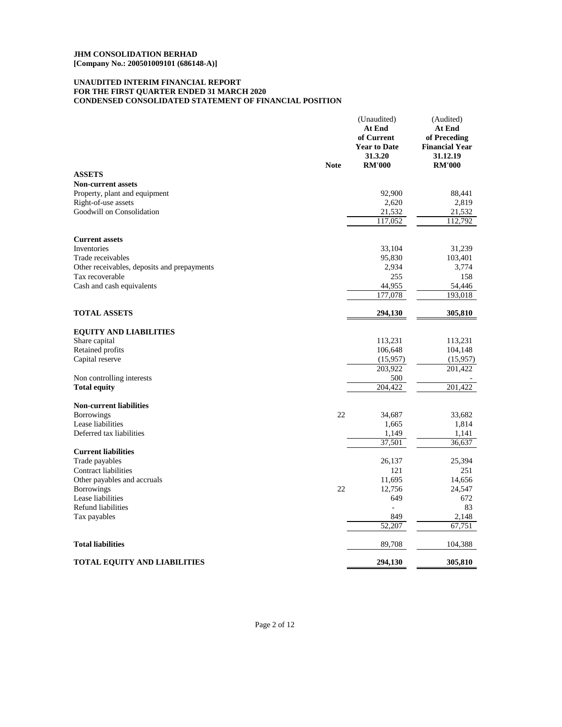# **CONDENSED CONSOLIDATED STATEMENT OF FINANCIAL POSITION UNAUDITED INTERIM FINANCIAL REPORT FOR THE FIRST QUARTER ENDED 31 MARCH 2020**

|                                             |             | (Unaudited)<br>At End<br>of Current<br><b>Year to Date</b><br>31.3.20 | (Audited)<br>At End<br>of Preceding<br><b>Financial Year</b><br>31.12.19 |
|---------------------------------------------|-------------|-----------------------------------------------------------------------|--------------------------------------------------------------------------|
| <b>ASSETS</b>                               | <b>Note</b> | <b>RM'000</b>                                                         | <b>RM'000</b>                                                            |
| Non-current assets                          |             |                                                                       |                                                                          |
| Property, plant and equipment               |             | 92,900                                                                | 88,441                                                                   |
| Right-of-use assets                         |             | 2,620                                                                 | 2,819                                                                    |
| Goodwill on Consolidation                   |             | 21,532                                                                | 21,532                                                                   |
|                                             |             | 117,052                                                               | 112,792                                                                  |
| <b>Current assets</b>                       |             |                                                                       |                                                                          |
| <b>Inventories</b>                          |             | 33,104                                                                | 31,239                                                                   |
| Trade receivables                           |             | 95,830                                                                | 103,401                                                                  |
| Other receivables, deposits and prepayments |             | 2,934                                                                 | 3,774                                                                    |
| Tax recoverable                             |             | 255                                                                   | 158                                                                      |
| Cash and cash equivalents                   |             | 44,955                                                                | 54,446                                                                   |
|                                             |             | 177,078                                                               | 193,018                                                                  |
| <b>TOTAL ASSETS</b>                         |             | 294,130                                                               | 305,810                                                                  |
| <b>EQUITY AND LIABILITIES</b>               |             |                                                                       |                                                                          |
| Share capital                               |             | 113,231                                                               | 113,231                                                                  |
| Retained profits                            |             | 106,648                                                               | 104,148                                                                  |
| Capital reserve                             |             | (15,957)                                                              | (15,957)                                                                 |
|                                             |             | 203,922                                                               | 201,422                                                                  |
| Non controlling interests                   |             | 500                                                                   |                                                                          |
| <b>Total equity</b>                         |             | 204.422                                                               | 201.422                                                                  |
| <b>Non-current liabilities</b>              |             |                                                                       |                                                                          |
| <b>Borrowings</b>                           | 22          | 34,687                                                                | 33,682                                                                   |
| Lease liabilities                           |             | 1,665                                                                 | 1,814                                                                    |
| Deferred tax liabilities                    |             | 1,149                                                                 | 1,141                                                                    |
| <b>Current liabilities</b>                  |             | 37,501                                                                | 36,637                                                                   |
| Trade payables                              |             | 26,137                                                                | 25,394                                                                   |
| Contract liabilities                        |             | 121                                                                   | 251                                                                      |
| Other payables and accruals                 |             | 11,695                                                                | 14,656                                                                   |
| <b>Borrowings</b>                           | 22          | 12,756                                                                | 24,547                                                                   |
| Lease liabilities                           |             | 649                                                                   | 672                                                                      |
| Refund liabilities                          |             |                                                                       | 83                                                                       |
| Tax payables                                |             | 849                                                                   | 2,148                                                                    |
|                                             |             | 52,207                                                                | 67,751                                                                   |
| <b>Total liabilities</b>                    |             | 89,708                                                                | 104,388                                                                  |
| TOTAL EQUITY AND LIABILITIES                |             | 294,130                                                               | 305,810                                                                  |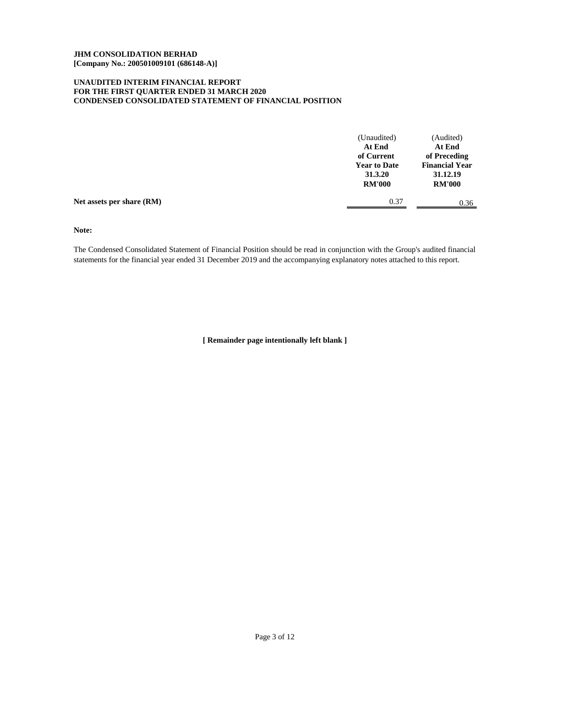# **CONDENSED CONSOLIDATED STATEMENT OF FINANCIAL POSITION UNAUDITED INTERIM FINANCIAL REPORT FOR THE FIRST QUARTER ENDED 31 MARCH 2020**

|                           | (Unaudited)<br>At End<br>of Current<br><b>Year to Date</b><br>31.3.20<br><b>RM'000</b> | (Audited)<br>At End<br>of Preceding<br><b>Financial Year</b><br>31.12.19<br><b>RM'000</b> |
|---------------------------|----------------------------------------------------------------------------------------|-------------------------------------------------------------------------------------------|
| Net assets per share (RM) | 0.37                                                                                   | 0.36                                                                                      |

**Note:**

The Condensed Consolidated Statement of Financial Position should be read in conjunction with the Group's audited financial statements for the financial year ended 31 December 2019 and the accompanying explanatory notes attached to this report.

**[ Remainder page intentionally left blank ]**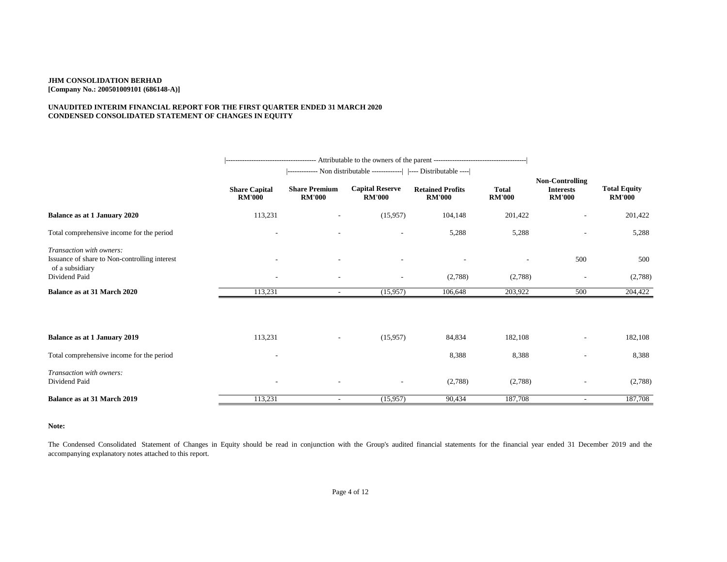# **UNAUDITED INTERIM FINANCIAL REPORT FOR THE FIRST QUARTER ENDED 31 MARCH 2020 CONDENSED CONSOLIDATED STATEMENT OF CHANGES IN EQUITY**

|                                                                                              |                                       | ------------- Non distributable -------------   ---- Distributable ---- |                                         |                                          |                               |                                                             |                                      |
|----------------------------------------------------------------------------------------------|---------------------------------------|-------------------------------------------------------------------------|-----------------------------------------|------------------------------------------|-------------------------------|-------------------------------------------------------------|--------------------------------------|
|                                                                                              | <b>Share Capital</b><br><b>RM'000</b> | <b>Share Premium</b><br><b>RM'000</b>                                   | <b>Capital Reserve</b><br><b>RM'000</b> | <b>Retained Profits</b><br><b>RM'000</b> | <b>Total</b><br><b>RM'000</b> | <b>Non-Controlling</b><br><b>Interests</b><br><b>RM'000</b> | <b>Total Equity</b><br><b>RM'000</b> |
| <b>Balance as at 1 January 2020</b>                                                          | 113,231                               |                                                                         | (15,957)                                | 104,148                                  | 201,422                       | $\qquad \qquad -$                                           | 201,422                              |
| Total comprehensive income for the period                                                    | $\overline{\phantom{a}}$              | ٠                                                                       | $\overline{\phantom{a}}$                | 5,288                                    | 5,288                         | $\overline{\phantom{a}}$                                    | 5,288                                |
| Transaction with owners:<br>Issuance of share to Non-controlling interest<br>of a subsidiary |                                       |                                                                         |                                         |                                          |                               | 500                                                         | 500                                  |
| Dividend Paid                                                                                |                                       |                                                                         |                                         | (2,788)                                  | (2,788)                       |                                                             | (2,788)                              |
| Balance as at 31 March 2020                                                                  | 113,231                               | $\sim$                                                                  | (15,957)                                | 106,648                                  | 203,922                       | 500                                                         | 204,422                              |
|                                                                                              |                                       |                                                                         |                                         |                                          |                               |                                                             |                                      |
| Balance as at 1 January 2019                                                                 | 113,231                               | $\overline{\phantom{a}}$                                                | (15,957)                                | 84,834                                   | 182,108                       | $\overline{a}$                                              | 182,108                              |
| Total comprehensive income for the period                                                    |                                       |                                                                         |                                         | 8,388                                    | 8,388                         | $\overline{\phantom{a}}$                                    | 8,388                                |
| Transaction with owners:<br>Dividend Paid                                                    | $\overline{\phantom{a}}$              |                                                                         | $\overline{\phantom{a}}$                | (2,788)                                  | (2,788)                       |                                                             | (2,788)                              |
| Balance as at 31 March 2019                                                                  | 113,231                               | $\overline{\phantom{a}}$                                                | (15,957)                                | 90,434                                   | 187,708                       | $\overline{\phantom{a}}$                                    | 187,708                              |

**Note:**

The Condensed Consolidated Statement of Changes in Equity should be read in conjunction with the Group's audited financial statements for the financial year ended 31 December 2019 and the accompanying explanatory notes attached to this report.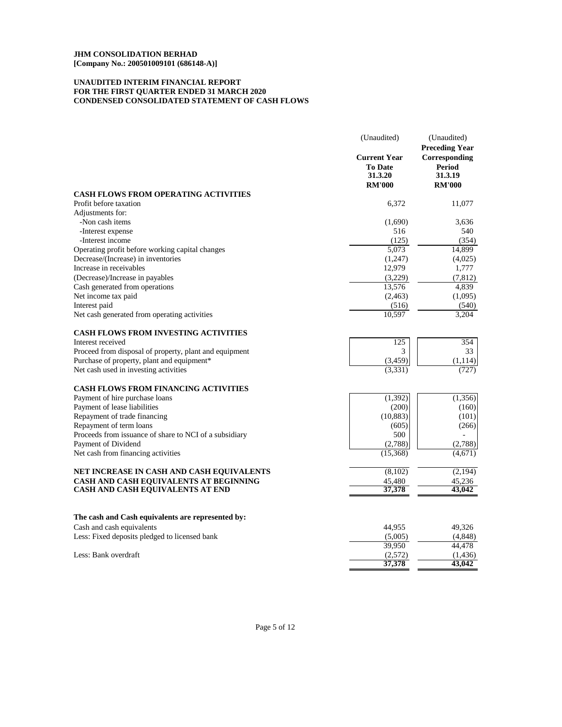# **UNAUDITED INTERIM FINANCIAL REPORT CONDENSED CONSOLIDATED STATEMENT OF CASH FLOWS FOR THE FIRST QUARTER ENDED 31 MARCH 2020**

|                                                        | (Unaudited)                                                       | (Unaudited)<br><b>Preceding Year</b>                |  |
|--------------------------------------------------------|-------------------------------------------------------------------|-----------------------------------------------------|--|
|                                                        | <b>Current Year</b><br><b>To Date</b><br>31.3.20<br><b>RM'000</b> | Corresponding<br>Period<br>31.3.19<br><b>RM'000</b> |  |
| <b>CASH FLOWS FROM OPERATING ACTIVITIES</b>            |                                                                   |                                                     |  |
| Profit before taxation                                 | 6,372                                                             | 11,077                                              |  |
| Adjustments for:                                       |                                                                   |                                                     |  |
| -Non cash items                                        | (1,690)                                                           | 3.636                                               |  |
| -Interest expense                                      | 516                                                               | 540                                                 |  |
| -Interest income                                       | (125)                                                             | (354)                                               |  |
| Operating profit before working capital changes        | 5,073                                                             | 14,899                                              |  |
| Decrease/(Increase) in inventories                     | (1,247)                                                           | (4,025)                                             |  |
| Increase in receivables                                | 12,979                                                            | 1,777                                               |  |
| (Decrease)/Increase in payables                        | (3,229)                                                           | (7, 812)                                            |  |
| Cash generated from operations                         | 13,576                                                            | 4,839                                               |  |
| Net income tax paid                                    | (2, 463)                                                          | (1,095)                                             |  |
| Interest paid                                          | (516)                                                             | (540)                                               |  |
| Net cash generated from operating activities           | 10,597                                                            | 3,204                                               |  |
| <b>CASH FLOWS FROM INVESTING ACTIVITIES</b>            |                                                                   |                                                     |  |
| Interest received                                      | 125                                                               | 354                                                 |  |
| Proceed from disposal of property, plant and equipment | 3                                                                 | 33                                                  |  |
| Purchase of property, plant and equipment*             | (3, 459)                                                          | (1, 114)                                            |  |
| Net cash used in investing activities                  | (3,331)                                                           | (727)                                               |  |
| <b>CASH FLOWS FROM FINANCING ACTIVITIES</b>            |                                                                   |                                                     |  |
| Payment of hire purchase loans                         | (1, 392)                                                          | (1, 356)                                            |  |
| Payment of lease liabilities                           | (200)                                                             | (160)                                               |  |
| Repayment of trade financing                           | (10, 883)                                                         | (101)                                               |  |
| Repayment of term loans                                | (605)                                                             | (266)                                               |  |
| Proceeds from issuance of share to NCI of a subsidiary | 500                                                               |                                                     |  |
| Payment of Dividend                                    | (2,788)                                                           | (2,788)                                             |  |
| Net cash from financing activities                     | (15,368)                                                          | (4,671)                                             |  |
| NET INCREASE IN CASH AND CASH EQUIVALENTS              | (8,102)                                                           | (2, 194)                                            |  |
| CASH AND CASH EQUIVALENTS AT BEGINNING                 | 45,480                                                            | 45,236                                              |  |
| CASH AND CASH EQUIVALENTS AT END                       | 37,378                                                            | 43,042                                              |  |
|                                                        |                                                                   |                                                     |  |
| The cash and Cash equivalents are represented by:      |                                                                   |                                                     |  |
| Cash and cash equivalents                              | 44,955                                                            | 49,326                                              |  |
| Less: Fixed deposits pledged to licensed bank          | (5,005)                                                           | (4, 848)                                            |  |
|                                                        | 39,950                                                            | 44,478                                              |  |
| Less: Bank overdraft                                   | (2,572)<br>37,378                                                 | (1, 436)<br>43,042                                  |  |
|                                                        |                                                                   |                                                     |  |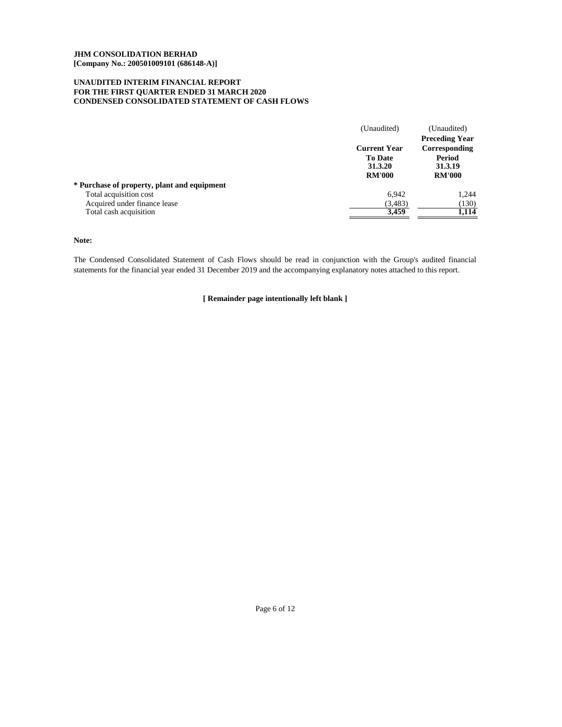# **UNAUDITED INTERIM FINANCIAL REPORT FOR THE FIRST QUARTER ENDED 31 MARCH 2020 CONDENSED CONSOLIDATED STATEMENT OF CASH FLOWS**

|                                             | (Unaudited)                                                       | (Unaudited)<br><b>Preceding Year</b>                |
|---------------------------------------------|-------------------------------------------------------------------|-----------------------------------------------------|
|                                             | <b>Current Year</b><br><b>To Date</b><br>31.3.20<br><b>RM'000</b> | Corresponding<br>Period<br>31.3.19<br><b>RM'000</b> |
| * Purchase of property, plant and equipment |                                                                   |                                                     |
| Total acquisition cost                      | 6.942                                                             | 1,244                                               |
| Acquired under finance lease                | (3,483)                                                           | (130)                                               |
| Total cash acquisition                      | 3,459                                                             | 1,114                                               |

**Note:**

The Condensed Consolidated Statement of Cash Flows should be read in conjunction with the Group's audited financial statements for the financial year ended 31 December 2019 and the accompanying explanatory notes attached to this report.

**[ Remainder page intentionally left blank ]**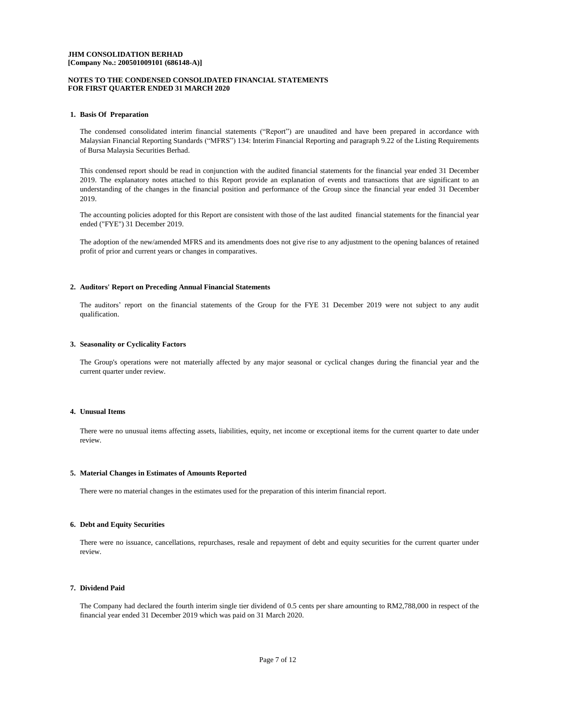## **NOTES TO THE CONDENSED CONSOLIDATED FINANCIAL STATEMENTS FOR FIRST QUARTER ENDED 31 MARCH 2020**

### **1. Basis Of Preparation**

The condensed consolidated interim financial statements ("Report") are unaudited and have been prepared in accordance with Malaysian Financial Reporting Standards ("MFRS") 134: Interim Financial Reporting and paragraph 9.22 of the Listing Requirements of Bursa Malaysia Securities Berhad.

This condensed report should be read in conjunction with the audited financial statements for the financial year ended 31 December 2019. The explanatory notes attached to this Report provide an explanation of events and transactions that are significant to an understanding of the changes in the financial position and performance of the Group since the financial year ended 31 December 2019.

The accounting policies adopted for this Report are consistent with those of the last audited financial statements for the financial year ended ("FYE") 31 December 2019.

The adoption of the new/amended MFRS and its amendments does not give rise to any adjustment to the opening balances of retained profit of prior and current years or changes in comparatives.

#### **2. Auditors' Report on Preceding Annual Financial Statements**

The auditors' report on the financial statements of the Group for the FYE 31 December 2019 were not subject to any audit qualification.

#### **3. Seasonality or Cyclicality Factors**

The Group's operations were not materially affected by any major seasonal or cyclical changes during the financial year and the current quarter under review.

#### **4. Unusual Items**

There were no unusual items affecting assets, liabilities, equity, net income or exceptional items for the current quarter to date under review.

#### **5. Material Changes in Estimates of Amounts Reported**

There were no material changes in the estimates used for the preparation of this interim financial report.

## **6. Debt and Equity Securities**

There were no issuance, cancellations, repurchases, resale and repayment of debt and equity securities for the current quarter under review.

## **7. Dividend Paid**

The Company had declared the fourth interim single tier dividend of 0.5 cents per share amounting to RM2,788,000 in respect of the financial year ended 31 December 2019 which was paid on 31 March 2020.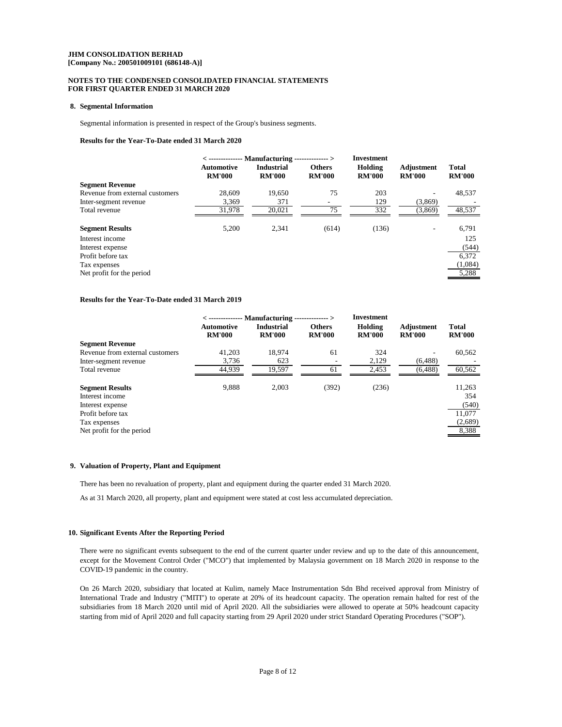## **[Company No.: 200501009101 (686148-A)] JHM CONSOLIDATION BERHAD**

# **NOTES TO THE CONDENSED CONSOLIDATED FINANCIAL STATEMENTS FOR FIRST QUARTER ENDED 31 MARCH 2020**

#### **8. Segmental Information**

Segmental information is presented in respect of the Group's business segments.

## **Results for the Year-To-Date ended 31 March 2020**

|                                 | <b>Automotive</b><br><b>RM'000</b> | $\langle$ -------------- Manufacturing -------------- $>$<br><b>Industrial</b><br><b>RM'000</b> | <b>Others</b><br><b>RM'000</b> | <b>Investment</b><br>Holding<br><b>RM'000</b> | Adjustment<br><b>RM'000</b> | Total<br><b>RM'000</b> |
|---------------------------------|------------------------------------|-------------------------------------------------------------------------------------------------|--------------------------------|-----------------------------------------------|-----------------------------|------------------------|
| <b>Segment Revenue</b>          |                                    |                                                                                                 |                                |                                               |                             |                        |
| Revenue from external customers | 28,609                             | 19,650                                                                                          | 75                             | 203                                           |                             | 48,537                 |
| Inter-segment revenue           | 3.369                              | 371                                                                                             | $\overline{\phantom{a}}$       | 129                                           | (3,869)                     |                        |
| Total revenue                   | 31,978                             | 20,021                                                                                          | 75                             | 332                                           | (3,869)                     | 48,537                 |
| <b>Segment Results</b>          | 5,200                              | 2,341                                                                                           | (614)                          | (136)                                         | ۰                           | 6,791                  |
| Interest income                 |                                    |                                                                                                 |                                |                                               |                             | 125                    |
| Interest expense                |                                    |                                                                                                 |                                |                                               |                             | (544)                  |
| Profit before tax               |                                    |                                                                                                 |                                |                                               |                             | 6.372                  |
| Tax expenses                    |                                    |                                                                                                 |                                |                                               |                             | (1,084)                |
| Net profit for the period       |                                    |                                                                                                 |                                |                                               |                             | 5,288                  |

#### **Results for the Year-To-Date ended 31 March 2019**

|                                 | $\langle$ -------------- Manufacturing -<br>------------- > |                                    |                                | Investment               |                             |                               |
|---------------------------------|-------------------------------------------------------------|------------------------------------|--------------------------------|--------------------------|-----------------------------|-------------------------------|
|                                 | <b>Automotive</b><br><b>RM'000</b>                          | <b>Industrial</b><br><b>RM'000</b> | <b>Others</b><br><b>RM'000</b> | Holding<br><b>RM'000</b> | Adjustment<br><b>RM'000</b> | <b>Total</b><br><b>RM'000</b> |
| <b>Segment Revenue</b>          |                                                             |                                    |                                |                          |                             |                               |
| Revenue from external customers | 41,203                                                      | 18.974                             | 61                             | 324                      |                             | 60.562                        |
| Inter-segment revenue           | 3,736                                                       | 623                                |                                | 2,129                    | (6, 488)                    |                               |
| Total revenue                   | 44.939                                                      | 19.597                             | 61                             | 2,453                    | (6, 488)                    | 60,562                        |
| <b>Segment Results</b>          | 9,888                                                       | 2.003                              | (392)                          | (236)                    |                             | 11,263                        |
| Interest income                 |                                                             |                                    |                                |                          |                             | 354                           |
| Interest expense                |                                                             |                                    |                                |                          |                             | (540)                         |
| Profit before tax               |                                                             |                                    |                                |                          |                             | 11,077                        |
| Tax expenses                    |                                                             |                                    |                                |                          |                             | (2,689)                       |
| Net profit for the period       |                                                             |                                    |                                |                          |                             | 8,388                         |

## **9. Valuation of Property, Plant and Equipment**

There has been no revaluation of property, plant and equipment during the quarter ended 31 March 2020.

As at 31 March 2020, all property, plant and equipment were stated at cost less accumulated depreciation.

#### **10. Significant Events After the Reporting Period**

There were no significant events subsequent to the end of the current quarter under review and up to the date of this announcement, except for the Movement Control Order ("MCO") that implemented by Malaysia government on 18 March 2020 in response to the COVID-19 pandemic in the country.

On 26 March 2020, subsidiary that located at Kulim, namely Mace Instrumentation Sdn Bhd received approval from Ministry of International Trade and Industry ("MITI") to operate at 20% of its headcount capacity. The operation remain halted for rest of the subsidiaries from 18 March 2020 until mid of April 2020. All the subsidiaries were allowed to operate at 50% headcount capacity starting from mid of April 2020 and full capacity starting from 29 April 2020 under strict Standard Operating Procedures ("SOP").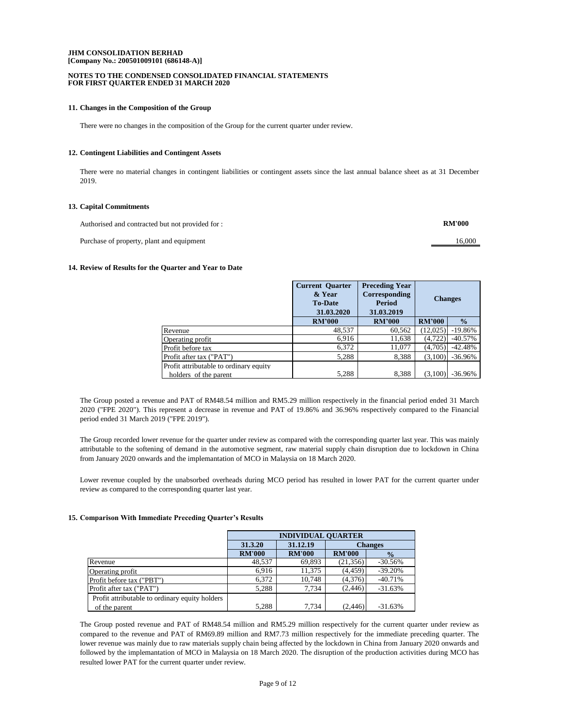#### **NOTES TO THE CONDENSED CONSOLIDATED FINANCIAL STATEMENTS FOR FIRST QUARTER ENDED 31 MARCH 2020**

#### **11. Changes in the Composition of the Group**

There were no changes in the composition of the Group for the current quarter under review.

#### **12. Contingent Liabilities and Contingent Assets**

There were no material changes in contingent liabilities or contingent assets since the last annual balance sheet as at 31 December 2019.

## **13. Capital Commitments**

| Authorised and contracted but not provided for : | <b>RM'000</b> |
|--------------------------------------------------|---------------|
| Purchase of property, plant and equipment        | 16.000        |

#### **14. Review of Results for the Quarter and Year to Date**

|                                                                 | <b>Current Quarter</b><br>& Year<br><b>To-Date</b><br>31.03.2020 | <b>Preceding Year</b><br>Corresponding<br><b>Period</b><br>31.03.2019 | <b>Changes</b> |               |
|-----------------------------------------------------------------|------------------------------------------------------------------|-----------------------------------------------------------------------|----------------|---------------|
|                                                                 | <b>RM'000</b>                                                    | <b>RM'000</b>                                                         | <b>RM'000</b>  | $\frac{0}{0}$ |
| Revenue                                                         | 48,537                                                           | 60,562                                                                | (12,025)       | $-19.86%$     |
| Operating profit                                                | 6.916                                                            | 11,638                                                                | (4, 722)       | $-40.57%$     |
| Profit before tax                                               | 6,372                                                            | 11,077                                                                | (4,705)        | $-42.48%$     |
| Profit after tax ("PAT")                                        | 5,288                                                            | 8,388                                                                 | (3,100)        | $-36.96%$     |
| Profit attributable to ordinary equity<br>holders of the parent | 5,288                                                            | 8,388                                                                 | (3,100)        | $-36.96%$     |

The Group posted a revenue and PAT of RM48.54 million and RM5.29 million respectively in the financial period ended 31 March 2020 ("FPE 2020"). This represent a decrease in revenue and PAT of 19.86% and 36.96% respectively compared to the Financial period ended 31 March 2019 ("FPE 2019").

The Group recorded lower revenue for the quarter under review as compared with the corresponding quarter last year. This was mainly attributable to the softening of demand in the automotive segment, raw material supply chain disruption due to lockdown in China from January 2020 onwards and the implemantation of MCO in Malaysia on 18 March 2020.

Lower revenue coupled by the unabsorbed overheads during MCO period has resulted in lower PAT for the current quarter under review as compared to the corresponding quarter last year.

#### **15. Comparison With Immediate Preceding Quarter's Results**

|                                                | <b>INDIVIDUAL QUARTER</b>             |               |                                |           |  |
|------------------------------------------------|---------------------------------------|---------------|--------------------------------|-----------|--|
|                                                | 31.12.19<br><b>Changes</b><br>31.3.20 |               |                                |           |  |
|                                                | <b>RM'000</b>                         | <b>RM'000</b> | <b>RM'000</b><br>$\frac{0}{0}$ |           |  |
| Revenue                                        | 48,537                                | 69,893        | (21, 356)                      | $-30.56%$ |  |
| Operating profit                               | 6.916                                 | 11.375        | (4, 459)                       | $-39.20%$ |  |
| Profit before tax ("PBT")                      | 6,372                                 | 10.748        | (4,376)                        | $-40.71%$ |  |
| Profit after tax ("PAT")                       | 5.288                                 | 7.734         | (2, 446)                       | $-31.63%$ |  |
| Profit attributable to ordinary equity holders |                                       |               |                                |           |  |
| of the parent                                  | 5,288                                 | 7.734         | (2.446)                        | $-31.63%$ |  |

The Group posted revenue and PAT of RM48.54 million and RM5.29 million respectively for the current quarter under review as compared to the revenue and PAT of RM69.89 million and RM7.73 million respectively for the immediate preceding quarter. The lower revenue was mainly due to raw materials supply chain being affected by the lockdown in China from January 2020 onwards and followed by the implemantation of MCO in Malaysia on 18 March 2020. The disruption of the production activities during MCO has resulted lower PAT for the current quarter under review.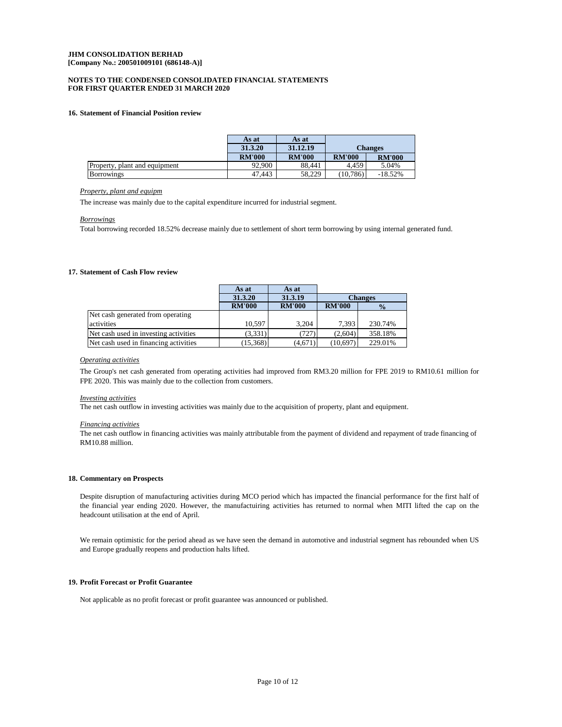## **FOR FIRST QUARTER ENDED 31 MARCH 2020 NOTES TO THE CONDENSED CONSOLIDATED FINANCIAL STATEMENTS**

## **16. Statement of Financial Position review**

|                               | As at         | As at         |               |                |
|-------------------------------|---------------|---------------|---------------|----------------|
|                               | 31.3.20       | 31.12.19      |               | <b>Changes</b> |
|                               | <b>RM'000</b> | <b>RM'000</b> | <b>RM'000</b> | <b>RM'000</b>  |
| Property, plant and equipment | 92,900        | 88.441        | 4.459         | 5.04%          |
| <b>Borrowings</b>             | 47.443        | 58.229        | (10.786)      | $-18.52%$      |

#### *Property, plant and equipm*

The increase was mainly due to the capital expenditure incurred for industrial segment.

#### *Borrowings*

Total borrowing recorded 18.52% decrease mainly due to settlement of short term borrowing by using internal generated fund.

## **17. Statement of Cash Flow review**

|                                       | As at         | As at         |                |               |
|---------------------------------------|---------------|---------------|----------------|---------------|
|                                       | 31.3.20       | 31.3.19       | <b>Changes</b> |               |
|                                       | <b>RM'000</b> | <b>RM'000</b> | <b>RM'000</b>  | $\frac{0}{0}$ |
| Net cash generated from operating     |               |               |                |               |
| activities                            | 10.597        | 3.204         | 7.393          | 230.74%       |
| Net cash used in investing activities | (3,331)       | (727)         | (2,604)        | 358.18%       |
| Net cash used in financing activities | (15,368)      | (4,671)       | (10,697)       | 229.01%       |

#### *Operating activities*

The Group's net cash generated from operating activities had improved from RM3.20 million for FPE 2019 to RM10.61 million for FPE 2020. This was mainly due to the collection from customers.

#### *Investing activities*

The net cash outflow in investing activities was mainly due to the acquisition of property, plant and equipment.

## *Financing activities*

The net cash outflow in financing activities was mainly attributable from the payment of dividend and repayment of trade financing of RM10.88 million.

#### **18. Commentary on Prospects**

Despite disruption of manufacturing activities during MCO period which has impacted the financial performance for the first half of the financial year ending 2020. However, the manufactuiring activities has returned to normal when MITI lifted the cap on the headcount utilisation at the end of April.

We remain optimistic for the period ahead as we have seen the demand in automotive and industrial segment has rebounded when US and Europe gradually reopens and production halts lifted.

## **19. Profit Forecast or Profit Guarantee**

Not applicable as no profit forecast or profit guarantee was announced or published.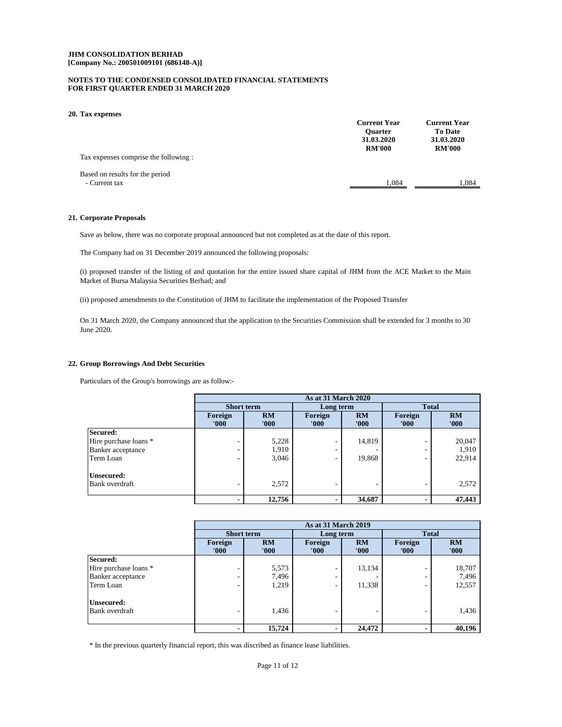### **NOTES TO THE CONDENSED CONSOLIDATED FINANCIAL STATEMENTS FOR FIRST QUARTER ENDED 31 MARCH 2020**

#### **20. Tax expenses**

| Tax expenses comprise the following:             | <b>Current Year</b><br><b>Ouarter</b><br>31.03.2020<br><b>RM'000</b> | <b>Current Year</b><br><b>To Date</b><br>31.03.2020<br><b>RM'000</b> |
|--------------------------------------------------|----------------------------------------------------------------------|----------------------------------------------------------------------|
| Based on results for the period<br>- Current tax | 1.084                                                                | 1.084                                                                |
|                                                  |                                                                      |                                                                      |

## **21. Corporate Proposals**

Save as below, there was no corporate proposal announced but not completed as at the date of this report.

The Company had on 31 December 2019 announced the following proposals:

(i) proposed transfer of the listing of and quotation for the entire issued share capital of JHM from the ACE Market to the Main Market of Bursa Malaysia Securities Berhad; and

(ii) proposed amendments to the Constitution of JHM to facilitate the implementation of the Proposed Transfer

On 31 March 2020, the Company announced that the application to the Securities Commission shall be extended for 3 months to 30 June 2020.

#### **22. Group Borrowings And Debt Securities**

Particulars of the Group's borrowings are as follow:-

|                       | As at 31 March 2020      |             |                  |             |                  |             |
|-----------------------|--------------------------|-------------|------------------|-------------|------------------|-------------|
|                       | <b>Short term</b>        |             | Long term        |             | <b>Total</b>     |             |
|                       | Foreign<br>'000'         | RM<br>'000' | Foreign<br>'000' | RM<br>'000' | Foreign<br>'000' | RM<br>'000' |
| Secured:              |                          |             |                  |             |                  |             |
| Hire purchase loans * |                          | 5,228       | ۰                | 14,819      | ۰                | 20,047      |
| Banker acceptance     |                          | 1,910       |                  |             | ۰                | 1,910       |
| Term Loan             |                          | 3,046       | ۰                | 19,868      | ۰                | 22,914      |
| <b>Unsecured:</b>     |                          |             |                  |             |                  |             |
| Bank overdraft        | $\overline{\phantom{a}}$ | 2,572       |                  |             | ۰                | 2,572       |
|                       |                          | 12,756      |                  | 34,687      |                  | 47,443      |

|                       | <b>As at 31 March 2019</b> |             |                          |             |                  |             |
|-----------------------|----------------------------|-------------|--------------------------|-------------|------------------|-------------|
|                       | <b>Short term</b>          |             | Long term                |             | <b>Total</b>     |             |
|                       | Foreign<br>'000'           | RM<br>'000' | Foreign<br>'000'         | RM<br>'000' | Foreign<br>'000' | RM<br>'000' |
| Secured:              |                            |             |                          |             |                  |             |
| Hire purchase loans * |                            | 5,573       |                          | 13,134      |                  | 18,707      |
| Banker acceptance     |                            | 7,496       | ۰                        |             | ۰                | 7,496       |
| Term Loan             |                            | 1,219       | ۰                        | 11,338      | ۰                | 12,557      |
| Unsecured:            |                            |             |                          |             |                  |             |
| Bank overdraft        |                            | 1,436       |                          |             |                  | 1,436       |
|                       |                            | 15,724      | $\overline{\phantom{0}}$ | 24,472      | $\blacksquare$   | 40,196      |

\* In the previous quarterly financial report, this was discribed as finance lease liabilities.